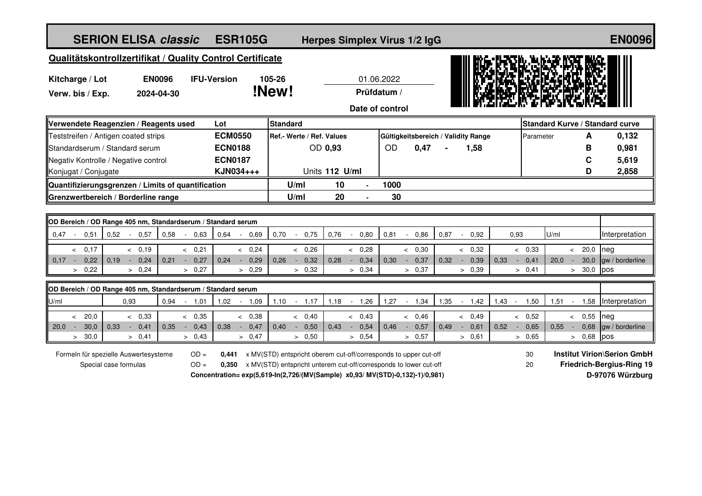| <b>SERION ELISA classic</b>                                                                                              | <b>ESR105G</b>                                                                                                      |                                                                                                                                       |                                  | Herpes Simplex Virus 1/2 IgG        |                                          |                          |                                           | <b>EN0096</b>                                                                              |
|--------------------------------------------------------------------------------------------------------------------------|---------------------------------------------------------------------------------------------------------------------|---------------------------------------------------------------------------------------------------------------------------------------|----------------------------------|-------------------------------------|------------------------------------------|--------------------------|-------------------------------------------|--------------------------------------------------------------------------------------------|
| Qualitätskontrollzertifikat / Quality Control Certificate                                                                |                                                                                                                     |                                                                                                                                       |                                  |                                     |                                          |                          |                                           |                                                                                            |
| <b>EN0096</b><br>Kitcharge / Lot<br>Verw. bis / Exp.<br>2024-04-30                                                       | <b>IFU-Version</b>                                                                                                  | 105-26<br>!New!                                                                                                                       | Prüfdatum /                      | 01.06.2022                          |                                          |                          |                                           |                                                                                            |
|                                                                                                                          |                                                                                                                     |                                                                                                                                       |                                  | Date of control                     |                                          |                          |                                           |                                                                                            |
| Verwendete Reagenzien / Reagents used                                                                                    | Lot                                                                                                                 | <b>Standard</b>                                                                                                                       |                                  |                                     |                                          |                          | Standard Kurve / Standard curve           |                                                                                            |
| Teststreifen / Antigen coated strips                                                                                     | <b>ECM0550</b>                                                                                                      | Ref.- Werte / Ref. Values                                                                                                             |                                  | Gültigkeitsbereich / Validity Range |                                          | Parameter                | A                                         | 0,132                                                                                      |
| Standardserum / Standard serum                                                                                           | <b>ECN0188</b>                                                                                                      | OD 0,93                                                                                                                               |                                  | 0,47<br><b>OD</b>                   | 1,58                                     |                          | в                                         | 0,981                                                                                      |
| Negativ Kontrolle / Negative control                                                                                     | <b>ECN0187</b>                                                                                                      |                                                                                                                                       |                                  |                                     |                                          |                          | C                                         | 5,619                                                                                      |
| Konjugat / Conjugate                                                                                                     | KJN034+++                                                                                                           |                                                                                                                                       | Units 112 U/ml                   |                                     |                                          |                          | D                                         | 2,858                                                                                      |
| Quantifizierungsgrenzen / Limits of quantification                                                                       |                                                                                                                     | U/ml                                                                                                                                  | 10                               | 1000                                |                                          |                          |                                           |                                                                                            |
| Grenzwertbereich / Borderline range                                                                                      |                                                                                                                     | U/ml                                                                                                                                  | 20                               | 30                                  |                                          |                          |                                           |                                                                                            |
|                                                                                                                          |                                                                                                                     |                                                                                                                                       |                                  |                                     |                                          |                          |                                           |                                                                                            |
| OD Bereich / OD Range 405 nm, Standardserum / Standard serum<br>0,58<br>0.47<br>0,51<br>0,52<br>0,57<br>$\sim$<br>$\sim$ | 0.63<br>0.64<br>0.69                                                                                                | 0,70<br>0,75<br>$\sim$                                                                                                                | 0,76<br>0,80<br>$\sim$           | 0,81<br>0,86                        | 0,87<br>0,92<br>$\sim$                   | 0,93                     | U/ml                                      | Interpretation                                                                             |
|                                                                                                                          |                                                                                                                     |                                                                                                                                       |                                  |                                     |                                          |                          |                                           |                                                                                            |
| 0,17<br>< 0,19<br>$\lt$<br>0,19<br>0,24<br>$0,17 -$<br>0,22<br>0,21<br>$\sim$<br>$\sim$                                  | & 0,24<br>< 0,21<br>0,24<br>0,27<br>0,29<br>$\sim$                                                                  | & 0,26<br>0,32<br>0,26<br>$\sim$                                                                                                      | < 0,28<br>0,28<br>0,34<br>$\sim$ | < 0,30<br>0,30<br>0,37<br>$\sim$    | & 0,32<br>0,32<br>0,39<br>0.33<br>$\sim$ | < 0,33<br>0,41<br>$\sim$ | 20,0<br>$\prec$<br>30,0<br>20,0<br>$\sim$ | neg<br>gw / borderline                                                                     |
| > 0,22<br>> 0,24                                                                                                         | > 0,27<br>> 0,29                                                                                                    | > 0,32                                                                                                                                | > 0,34                           | > 0,37                              | > 0,39                                   | > 0,41                   | 30,0<br>$\geq$                            | pos                                                                                        |
|                                                                                                                          |                                                                                                                     |                                                                                                                                       |                                  |                                     |                                          |                          |                                           |                                                                                            |
| OD Bereich / OD Range 405 nm, Standardserum / Standard serum<br>U/ml                                                     | 1,02                                                                                                                | 1,10<br>1,17                                                                                                                          | 1,18<br>1,26                     | 1,27                                | 1,35<br>1,42<br>1,43                     |                          | 1,58                                      | Interpretation                                                                             |
| 0,93<br>0,94                                                                                                             | $-1,01$<br>1,09<br>$\blacksquare$                                                                                   | $\sim$                                                                                                                                | $\mathcal{L}_{\mathcal{A}}$      | $-1,34$                             | $\sim$                                   | 1,50<br>$\sim$           | 1,51                                      |                                                                                            |
| 20.0<br>& 0.33<br>$\overline{\phantom{a}}$<br>30,0<br>0.33<br>0,41<br>0.35<br>20,0<br>$\sim$<br>$\sim 10^{-1}$<br>$\sim$ | & 0.35<br>& 0.38<br>0,47<br>0.38<br>0,43<br>$\sim$                                                                  | < 0.40<br>0.40<br>0,50<br>$\sim$                                                                                                      | < 0.43<br>0.43<br>0,54<br>$\sim$ | & 0.46<br>0.46<br>0,57<br>$\sim$    | & 0.49<br>0,52<br>0.49<br>0,61<br>$\sim$ | & 0,52<br>0,65<br>$\sim$ | 0,55<br>$\lt$<br>0.55<br>0,68<br>$\sim$   | neg<br>gw / borderline                                                                     |
| 30,0<br>> 0,41<br>$\geq$                                                                                                 | > 0.43<br>> 0,47                                                                                                    | > 0,50                                                                                                                                | > 0.54                           | > 0.57                              | > 0.61                                   | > 0.65                   | 0,68<br>$\geq$                            | pos                                                                                        |
| Formeln für spezielle Auswertesysteme<br>Special case formulas                                                           | $OD =$<br>0,441<br>$OD =$<br>0,350<br>Concentration= exp(5,619-ln(2,726/(MV(Sample) x0,93/ MV(STD)-0,132)-1)/0,981) | x MV(STD) entspricht oberem cut-off/corresponds to upper cut-off<br>x MV(STD) entspricht unterem cut-off/corresponds to lower cut-off |                                  |                                     |                                          | 30<br>20                 |                                           | <b>Institut Virion\Serion GmbH</b><br><b>Friedrich-Bergius-Ring 19</b><br>D-97076 Würzburg |
|                                                                                                                          |                                                                                                                     |                                                                                                                                       |                                  |                                     |                                          |                          |                                           |                                                                                            |